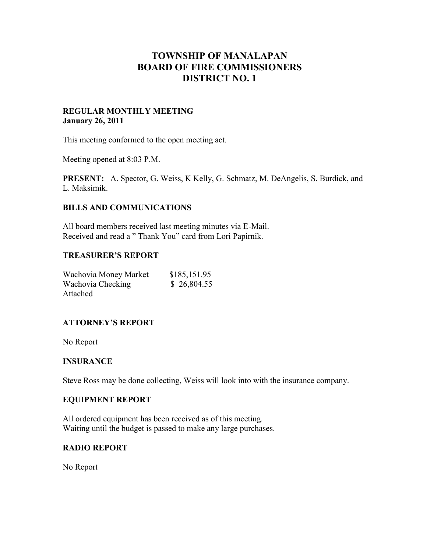# **TOWNSHIP OF MANALAPAN BOARD OF FIRE COMMISSIONERS DISTRICT NO. 1**

#### **REGULAR MONTHLY MEETING January 26, 2011**

This meeting conformed to the open meeting act.

Meeting opened at 8:03 P.M.

**PRESENT:** A. Spector, G. Weiss, K Kelly, G. Schmatz, M. DeAngelis, S. Burdick, and L. Maksimik.

#### **BILLS AND COMMUNICATIONS**

All board members received last meeting minutes via E-Mail. Received and read a " Thank You" card from Lori Papirnik.

#### **TREASURER'S REPORT**

| Wachovia Money Market | \$185,151.95 |
|-----------------------|--------------|
| Wachovia Checking     | \$26,804.55  |
| Attached              |              |

# **ATTORNEY'S REPORT**

No Report

#### **INSURANCE**

Steve Ross may be done collecting, Weiss will look into with the insurance company.

#### **EQUIPMENT REPORT**

All ordered equipment has been received as of this meeting. Waiting until the budget is passed to make any large purchases.

#### **RADIO REPORT**

No Report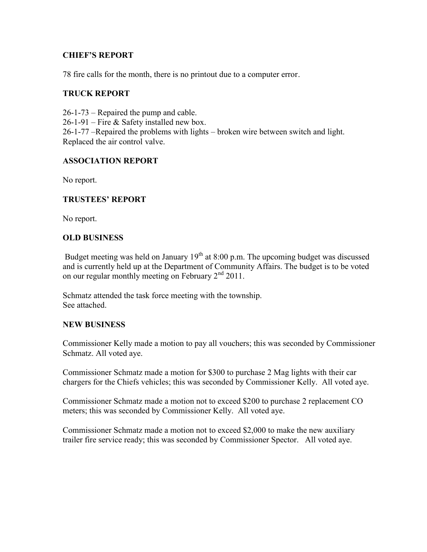# **CHIEF'S REPORT**

78 fire calls for the month, there is no printout due to a computer error.

# **TRUCK REPORT**

26-1-73 – Repaired the pump and cable. 26-1-91 – Fire & Safety installed new box. 26-1-77 –Repaired the problems with lights – broken wire between switch and light. Replaced the air control valve.

# **ASSOCIATION REPORT**

No report.

# **TRUSTEES' REPORT**

No report.

# **OLD BUSINESS**

Budget meeting was held on January  $19<sup>th</sup>$  at 8:00 p.m. The upcoming budget was discussed and is currently held up at the Department of Community Affairs. The budget is to be voted on our regular monthly meeting on February  $2<sup>nd</sup>$  2011.

Schmatz attended the task force meeting with the township. See attached.

# **NEW BUSINESS**

Commissioner Kelly made a motion to pay all vouchers; this was seconded by Commissioner Schmatz. All voted aye.

Commissioner Schmatz made a motion for \$300 to purchase 2 Mag lights with their car chargers for the Chiefs vehicles; this was seconded by Commissioner Kelly. All voted aye.

Commissioner Schmatz made a motion not to exceed \$200 to purchase 2 replacement CO meters; this was seconded by Commissioner Kelly. All voted aye.

Commissioner Schmatz made a motion not to exceed \$2,000 to make the new auxiliary trailer fire service ready; this was seconded by Commissioner Spector. All voted aye.